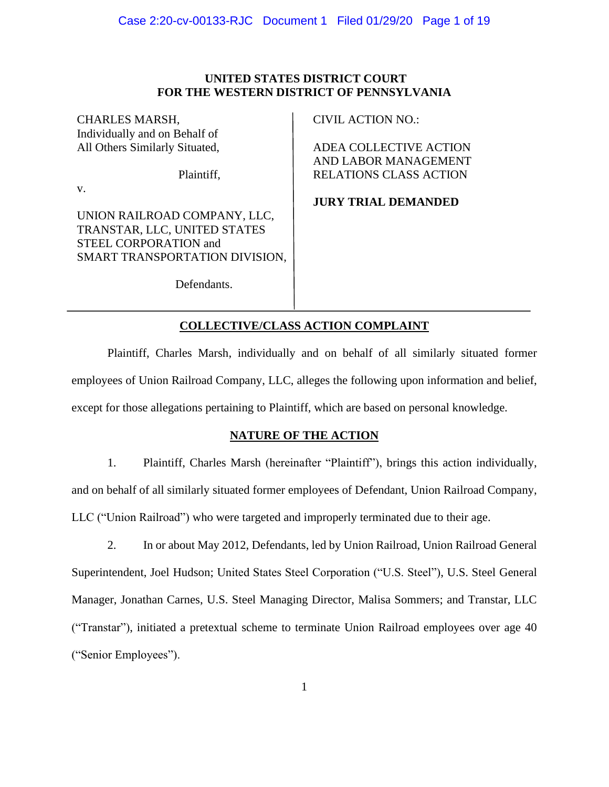# **UNITED STATES DISTRICT COURT FOR THE WESTERN DISTRICT OF PENNSYLVANIA**

CHARLES MARSH, Individually and on Behalf of All Others Similarly Situated,

Plaintiff,

v.

UNION RAILROAD COMPANY, LLC, TRANSTAR, LLC, UNITED STATES STEEL CORPORATION and SMART TRANSPORTATION DIVISION, CIVIL ACTION NO.:

ADEA COLLECTIVE ACTION AND LABOR MANAGEMENT RELATIONS CLASS ACTION

**JURY TRIAL DEMANDED**

Defendants.

# **COLLECTIVE/CLASS ACTION COMPLAINT**

Plaintiff, Charles Marsh, individually and on behalf of all similarly situated former employees of Union Railroad Company, LLC, alleges the following upon information and belief, except for those allegations pertaining to Plaintiff, which are based on personal knowledge.

# **NATURE OF THE ACTION**

1. Plaintiff, Charles Marsh (hereinafter "Plaintiff"), brings this action individually, and on behalf of all similarly situated former employees of Defendant, Union Railroad Company, LLC ("Union Railroad") who were targeted and improperly terminated due to their age.

2. In or about May 2012, Defendants, led by Union Railroad, Union Railroad General Superintendent, Joel Hudson; United States Steel Corporation ("U.S. Steel"), U.S. Steel General Manager, Jonathan Carnes, U.S. Steel Managing Director, Malisa Sommers; and Transtar, LLC ("Transtar"), initiated a pretextual scheme to terminate Union Railroad employees over age 40 ("Senior Employees").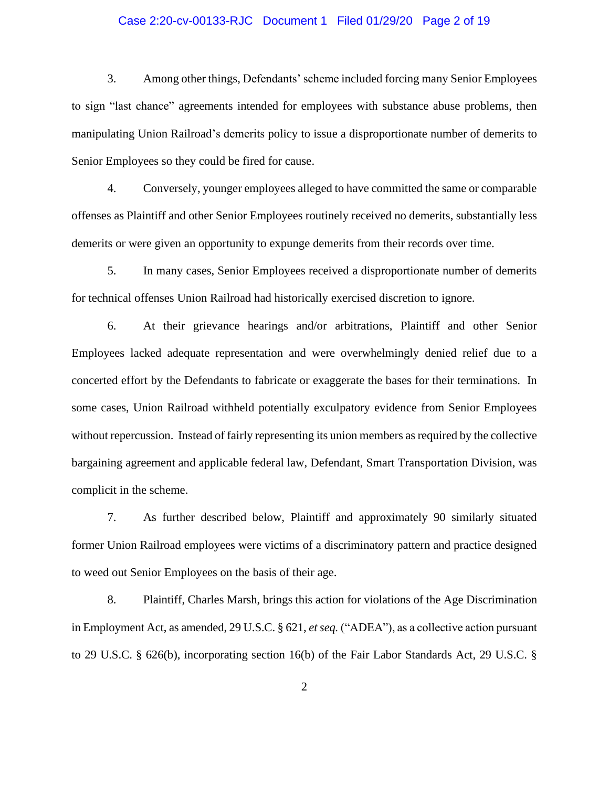# Case 2:20-cv-00133-RJC Document 1 Filed 01/29/20 Page 2 of 19

3. Among other things, Defendants' scheme included forcing many Senior Employees to sign "last chance" agreements intended for employees with substance abuse problems, then manipulating Union Railroad's demerits policy to issue a disproportionate number of demerits to Senior Employees so they could be fired for cause.

4. Conversely, younger employees alleged to have committed the same or comparable offenses as Plaintiff and other Senior Employees routinely received no demerits, substantially less demerits or were given an opportunity to expunge demerits from their records over time.

5. In many cases, Senior Employees received a disproportionate number of demerits for technical offenses Union Railroad had historically exercised discretion to ignore.

6. At their grievance hearings and/or arbitrations, Plaintiff and other Senior Employees lacked adequate representation and were overwhelmingly denied relief due to a concerted effort by the Defendants to fabricate or exaggerate the bases for their terminations. In some cases, Union Railroad withheld potentially exculpatory evidence from Senior Employees without repercussion. Instead of fairly representing its union members as required by the collective bargaining agreement and applicable federal law, Defendant, Smart Transportation Division, was complicit in the scheme.

7. As further described below, Plaintiff and approximately 90 similarly situated former Union Railroad employees were victims of a discriminatory pattern and practice designed to weed out Senior Employees on the basis of their age.

8. Plaintiff, Charles Marsh, brings this action for violations of the Age Discrimination in Employment Act, as amended, 29 U.S.C. § 621, *et seq.* ("ADEA"), as a collective action pursuant to 29 U.S.C. § 626(b), incorporating section 16(b) of the Fair Labor Standards Act, 29 U.S.C. §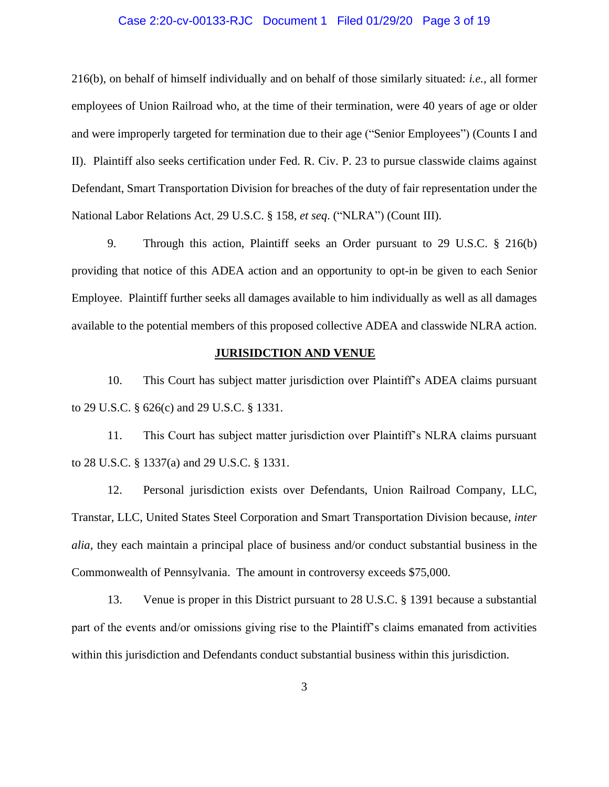# Case 2:20-cv-00133-RJC Document 1 Filed 01/29/20 Page 3 of 19

216(b), on behalf of himself individually and on behalf of those similarly situated: *i.e.,* all former employees of Union Railroad who, at the time of their termination, were 40 years of age or older and were improperly targeted for termination due to their age ("Senior Employees") (Counts I and II). Plaintiff also seeks certification under Fed. R. Civ. P. 23 to pursue classwide claims against Defendant, Smart Transportation Division for breaches of the duty of fair representation under the National Labor Relations Act, 29 U.S.C. § 158, *et seq*. ("NLRA") (Count III).

9. Through this action, Plaintiff seeks an Order pursuant to 29 U.S.C. § 216(b) providing that notice of this ADEA action and an opportunity to opt-in be given to each Senior Employee. Plaintiff further seeks all damages available to him individually as well as all damages available to the potential members of this proposed collective ADEA and classwide NLRA action.

## **JURISIDCTION AND VENUE**

10. This Court has subject matter jurisdiction over Plaintiff's ADEA claims pursuant to 29 U.S.C. § 626(c) and 29 U.S.C. § 1331.

11. This Court has subject matter jurisdiction over Plaintiff's NLRA claims pursuant to 28 U.S.C. § 1337(a) and 29 U.S.C. § 1331.

12. Personal jurisdiction exists over Defendants, Union Railroad Company, LLC, Transtar, LLC, United States Steel Corporation and Smart Transportation Division because, *inter alia*, they each maintain a principal place of business and/or conduct substantial business in the Commonwealth of Pennsylvania. The amount in controversy exceeds \$75,000.

13. Venue is proper in this District pursuant to 28 U.S.C. § 1391 because a substantial part of the events and/or omissions giving rise to the Plaintiff's claims emanated from activities within this jurisdiction and Defendants conduct substantial business within this jurisdiction.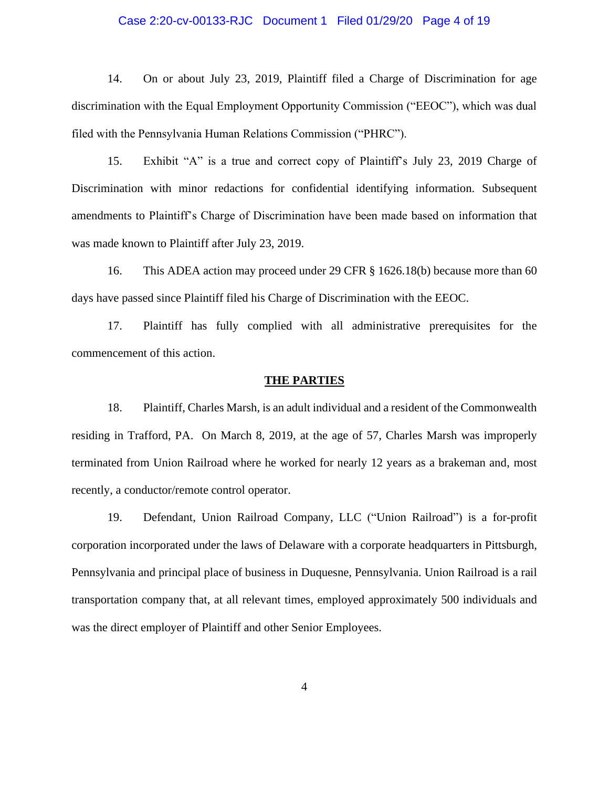# Case 2:20-cv-00133-RJC Document 1 Filed 01/29/20 Page 4 of 19

14. On or about July 23, 2019, Plaintiff filed a Charge of Discrimination for age discrimination with the Equal Employment Opportunity Commission ("EEOC"), which was dual filed with the Pennsylvania Human Relations Commission ("PHRC").

15. Exhibit "A" is a true and correct copy of Plaintiff's July 23, 2019 Charge of Discrimination with minor redactions for confidential identifying information. Subsequent amendments to Plaintiff's Charge of Discrimination have been made based on information that was made known to Plaintiff after July 23, 2019.

16. This ADEA action may proceed under 29 CFR § 1626.18(b) because more than 60 days have passed since Plaintiff filed his Charge of Discrimination with the EEOC.

17. Plaintiff has fully complied with all administrative prerequisites for the commencement of this action.

#### **THE PARTIES**

18. Plaintiff, Charles Marsh, is an adult individual and a resident of the Commonwealth residing in Trafford, PA. On March 8, 2019, at the age of 57, Charles Marsh was improperly terminated from Union Railroad where he worked for nearly 12 years as a brakeman and, most recently, a conductor/remote control operator.

19. Defendant, Union Railroad Company, LLC ("Union Railroad") is a for-profit corporation incorporated under the laws of Delaware with a corporate headquarters in Pittsburgh, Pennsylvania and principal place of business in Duquesne, Pennsylvania. Union Railroad is a rail transportation company that, at all relevant times, employed approximately 500 individuals and was the direct employer of Plaintiff and other Senior Employees.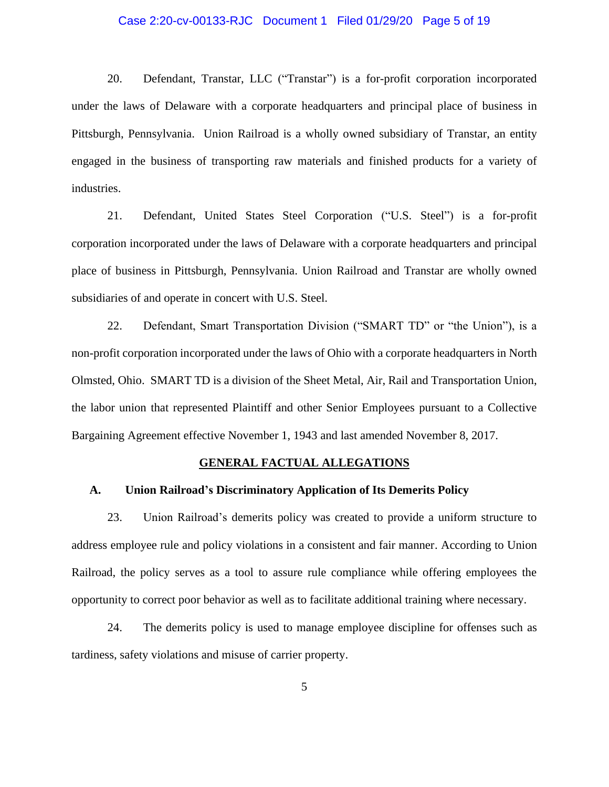# Case 2:20-cv-00133-RJC Document 1 Filed 01/29/20 Page 5 of 19

20. Defendant, Transtar, LLC ("Transtar") is a for-profit corporation incorporated under the laws of Delaware with a corporate headquarters and principal place of business in Pittsburgh, Pennsylvania. Union Railroad is a wholly owned subsidiary of Transtar, an entity engaged in the business of transporting raw materials and finished products for a variety of industries.

21. Defendant, United States Steel Corporation ("U.S. Steel") is a for-profit corporation incorporated under the laws of Delaware with a corporate headquarters and principal place of business in Pittsburgh, Pennsylvania. Union Railroad and Transtar are wholly owned subsidiaries of and operate in concert with U.S. Steel.

22. Defendant, Smart Transportation Division ("SMART TD" or "the Union"), is a non-profit corporation incorporated under the laws of Ohio with a corporate headquarters in North Olmsted, Ohio. SMART TD is a division of the Sheet Metal, Air, Rail and Transportation Union, the labor union that represented Plaintiff and other Senior Employees pursuant to a Collective Bargaining Agreement effective November 1, 1943 and last amended November 8, 2017.

#### **GENERAL FACTUAL ALLEGATIONS**

# **A. Union Railroad's Discriminatory Application of Its Demerits Policy**

23. Union Railroad's demerits policy was created to provide a uniform structure to address employee rule and policy violations in a consistent and fair manner. According to Union Railroad, the policy serves as a tool to assure rule compliance while offering employees the opportunity to correct poor behavior as well as to facilitate additional training where necessary.

24. The demerits policy is used to manage employee discipline for offenses such as tardiness, safety violations and misuse of carrier property.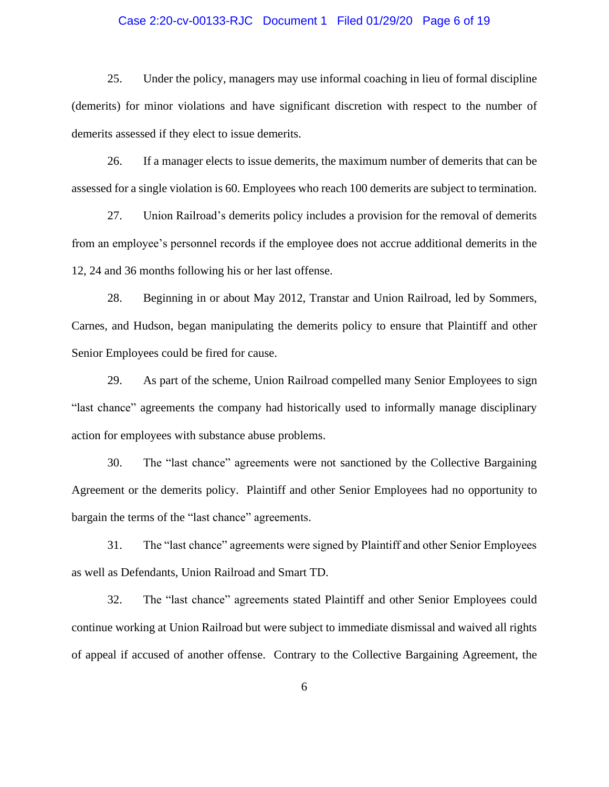# Case 2:20-cv-00133-RJC Document 1 Filed 01/29/20 Page 6 of 19

25. Under the policy, managers may use informal coaching in lieu of formal discipline (demerits) for minor violations and have significant discretion with respect to the number of demerits assessed if they elect to issue demerits.

26. If a manager elects to issue demerits, the maximum number of demerits that can be assessed for a single violation is 60. Employees who reach 100 demerits are subject to termination.

27. Union Railroad's demerits policy includes a provision for the removal of demerits from an employee's personnel records if the employee does not accrue additional demerits in the 12, 24 and 36 months following his or her last offense.

28. Beginning in or about May 2012, Transtar and Union Railroad, led by Sommers, Carnes, and Hudson, began manipulating the demerits policy to ensure that Plaintiff and other Senior Employees could be fired for cause.

29. As part of the scheme, Union Railroad compelled many Senior Employees to sign "last chance" agreements the company had historically used to informally manage disciplinary action for employees with substance abuse problems.

30. The "last chance" agreements were not sanctioned by the Collective Bargaining Agreement or the demerits policy. Plaintiff and other Senior Employees had no opportunity to bargain the terms of the "last chance" agreements.

31. The "last chance" agreements were signed by Plaintiff and other Senior Employees as well as Defendants, Union Railroad and Smart TD.

32. The "last chance" agreements stated Plaintiff and other Senior Employees could continue working at Union Railroad but were subject to immediate dismissal and waived all rights of appeal if accused of another offense. Contrary to the Collective Bargaining Agreement, the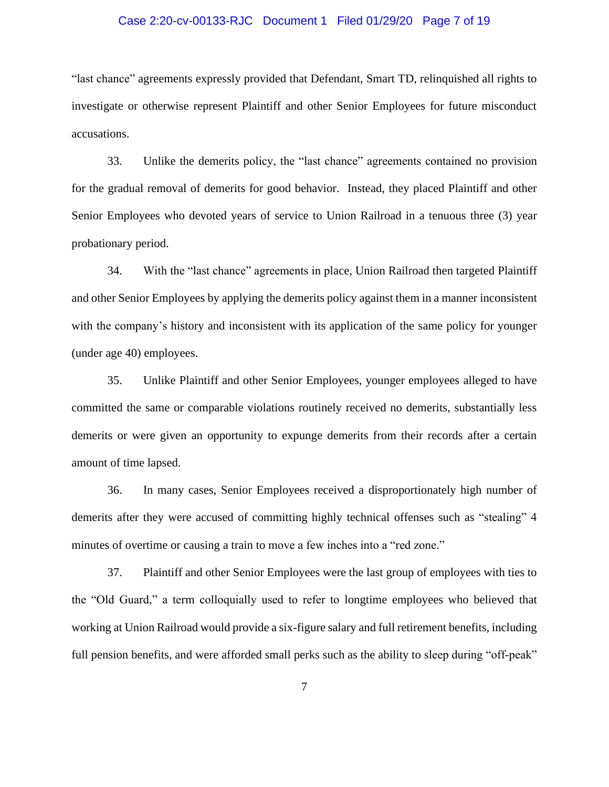# Case 2:20-cv-00133-RJC Document 1 Filed 01/29/20 Page 7 of 19

"last chance" agreements expressly provided that Defendant, Smart TD, relinquished all rights to investigate or otherwise represent Plaintiff and other Senior Employees for future misconduct accusations.

33. Unlike the demerits policy, the "last chance" agreements contained no provision for the gradual removal of demerits for good behavior. Instead, they placed Plaintiff and other Senior Employees who devoted years of service to Union Railroad in a tenuous three (3) year probationary period.

34. With the "last chance" agreements in place, Union Railroad then targeted Plaintiff and other Senior Employees by applying the demerits policy against them in a manner inconsistent with the company's history and inconsistent with its application of the same policy for younger (under age 40) employees.

35. Unlike Plaintiff and other Senior Employees, younger employees alleged to have committed the same or comparable violations routinely received no demerits, substantially less demerits or were given an opportunity to expunge demerits from their records after a certain amount of time lapsed.

36. In many cases, Senior Employees received a disproportionately high number of demerits after they were accused of committing highly technical offenses such as "stealing" 4 minutes of overtime or causing a train to move a few inches into a "red zone."

37. Plaintiff and other Senior Employees were the last group of employees with ties to the "Old Guard," a term colloquially used to refer to longtime employees who believed that working at Union Railroad would provide a six-figure salary and full retirement benefits, including full pension benefits, and were afforded small perks such as the ability to sleep during "off-peak"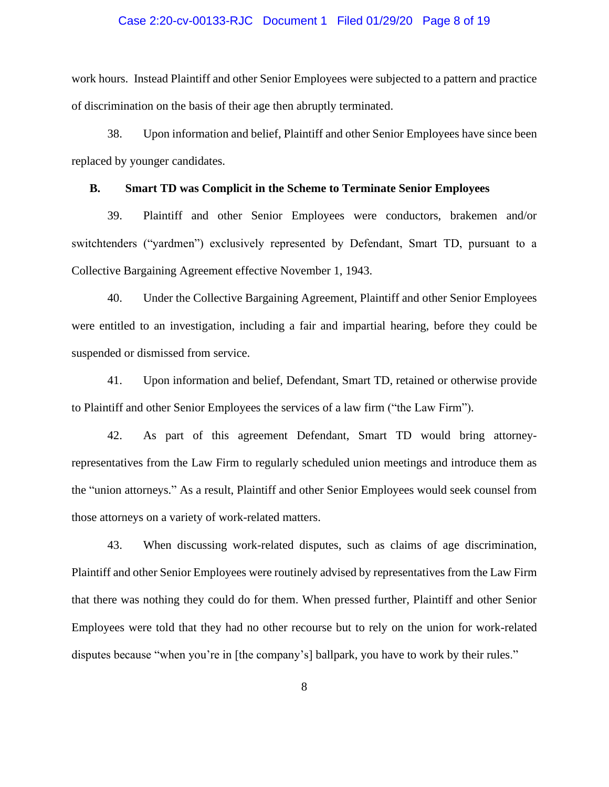# Case 2:20-cv-00133-RJC Document 1 Filed 01/29/20 Page 8 of 19

work hours. Instead Plaintiff and other Senior Employees were subjected to a pattern and practice of discrimination on the basis of their age then abruptly terminated.

38. Upon information and belief, Plaintiff and other Senior Employees have since been replaced by younger candidates.

# **B. Smart TD was Complicit in the Scheme to Terminate Senior Employees**

39. Plaintiff and other Senior Employees were conductors, brakemen and/or switchtenders ("yardmen") exclusively represented by Defendant, Smart TD, pursuant to a Collective Bargaining Agreement effective November 1, 1943.

40. Under the Collective Bargaining Agreement, Plaintiff and other Senior Employees were entitled to an investigation, including a fair and impartial hearing, before they could be suspended or dismissed from service.

41. Upon information and belief, Defendant, Smart TD, retained or otherwise provide to Plaintiff and other Senior Employees the services of a law firm ("the Law Firm").

42. As part of this agreement Defendant, Smart TD would bring attorneyrepresentatives from the Law Firm to regularly scheduled union meetings and introduce them as the "union attorneys." As a result, Plaintiff and other Senior Employees would seek counsel from those attorneys on a variety of work-related matters.

43. When discussing work-related disputes, such as claims of age discrimination, Plaintiff and other Senior Employees were routinely advised by representatives from the Law Firm that there was nothing they could do for them. When pressed further, Plaintiff and other Senior Employees were told that they had no other recourse but to rely on the union for work-related disputes because "when you're in [the company's] ballpark, you have to work by their rules."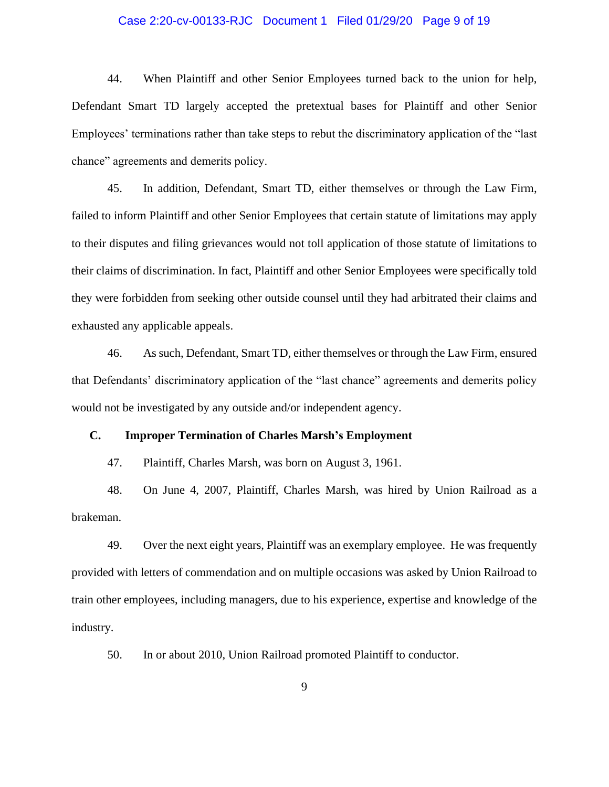# Case 2:20-cv-00133-RJC Document 1 Filed 01/29/20 Page 9 of 19

44. When Plaintiff and other Senior Employees turned back to the union for help, Defendant Smart TD largely accepted the pretextual bases for Plaintiff and other Senior Employees' terminations rather than take steps to rebut the discriminatory application of the "last chance" agreements and demerits policy.

45. In addition, Defendant, Smart TD, either themselves or through the Law Firm, failed to inform Plaintiff and other Senior Employees that certain statute of limitations may apply to their disputes and filing grievances would not toll application of those statute of limitations to their claims of discrimination. In fact, Plaintiff and other Senior Employees were specifically told they were forbidden from seeking other outside counsel until they had arbitrated their claims and exhausted any applicable appeals.

46. As such, Defendant, Smart TD, either themselves or through the Law Firm, ensured that Defendants' discriminatory application of the "last chance" agreements and demerits policy would not be investigated by any outside and/or independent agency.

# **C. Improper Termination of Charles Marsh's Employment**

47. Plaintiff, Charles Marsh, was born on August 3, 1961.

48. On June 4, 2007, Plaintiff, Charles Marsh, was hired by Union Railroad as a brakeman.

49. Over the next eight years, Plaintiff was an exemplary employee. He was frequently provided with letters of commendation and on multiple occasions was asked by Union Railroad to train other employees, including managers, due to his experience, expertise and knowledge of the industry.

50. In or about 2010, Union Railroad promoted Plaintiff to conductor.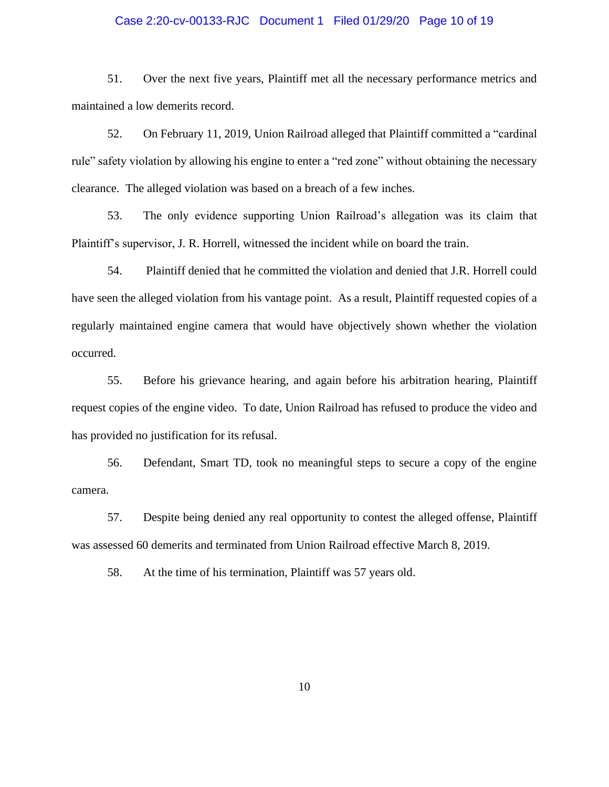# Case 2:20-cv-00133-RJC Document 1 Filed 01/29/20 Page 10 of 19

51. Over the next five years, Plaintiff met all the necessary performance metrics and maintained a low demerits record.

52. On February 11, 2019, Union Railroad alleged that Plaintiff committed a "cardinal rule" safety violation by allowing his engine to enter a "red zone" without obtaining the necessary clearance. The alleged violation was based on a breach of a few inches.

53. The only evidence supporting Union Railroad's allegation was its claim that Plaintiff's supervisor, J. R. Horrell, witnessed the incident while on board the train.

54. Plaintiff denied that he committed the violation and denied that J.R. Horrell could have seen the alleged violation from his vantage point. As a result, Plaintiff requested copies of a regularly maintained engine camera that would have objectively shown whether the violation occurred.

55. Before his grievance hearing, and again before his arbitration hearing, Plaintiff request copies of the engine video. To date, Union Railroad has refused to produce the video and has provided no justification for its refusal.

56. Defendant, Smart TD, took no meaningful steps to secure a copy of the engine camera.

57. Despite being denied any real opportunity to contest the alleged offense, Plaintiff was assessed 60 demerits and terminated from Union Railroad effective March 8, 2019.

58. At the time of his termination, Plaintiff was 57 years old.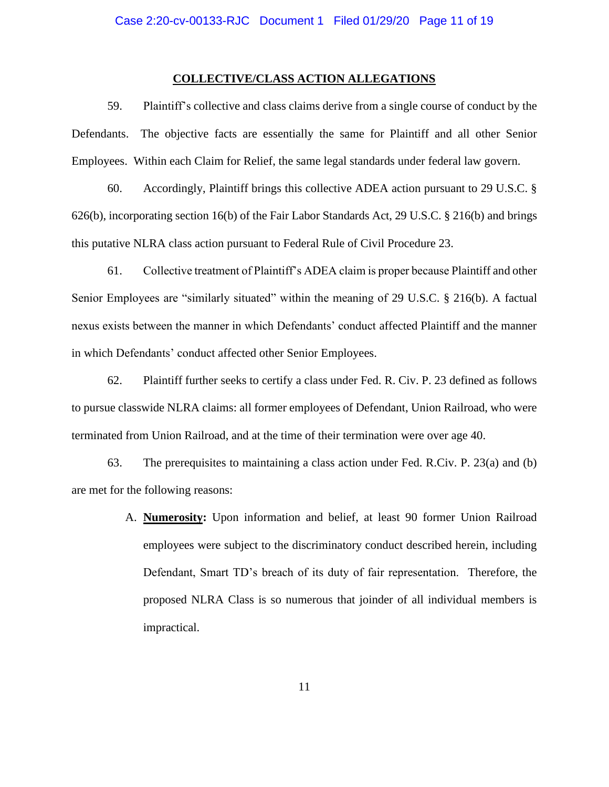#### **COLLECTIVE/CLASS ACTION ALLEGATIONS**

59. Plaintiff's collective and class claims derive from a single course of conduct by the Defendants. The objective facts are essentially the same for Plaintiff and all other Senior Employees. Within each Claim for Relief, the same legal standards under federal law govern.

60. Accordingly, Plaintiff brings this collective ADEA action pursuant to 29 U.S.C. § 626(b), incorporating section 16(b) of the Fair Labor Standards Act, 29 U.S.C. § 216(b) and brings this putative NLRA class action pursuant to Federal Rule of Civil Procedure 23.

61. Collective treatment of Plaintiff's ADEA claim is proper because Plaintiff and other Senior Employees are "similarly situated" within the meaning of 29 U.S.C. § 216(b). A factual nexus exists between the manner in which Defendants' conduct affected Plaintiff and the manner in which Defendants' conduct affected other Senior Employees.

62. Plaintiff further seeks to certify a class under Fed. R. Civ. P. 23 defined as follows to pursue classwide NLRA claims: all former employees of Defendant, Union Railroad, who were terminated from Union Railroad, and at the time of their termination were over age 40.

63. The prerequisites to maintaining a class action under Fed. R.Civ. P. 23(a) and (b) are met for the following reasons:

> A. **Numerosity:** Upon information and belief, at least 90 former Union Railroad employees were subject to the discriminatory conduct described herein, including Defendant, Smart TD's breach of its duty of fair representation. Therefore, the proposed NLRA Class is so numerous that joinder of all individual members is impractical.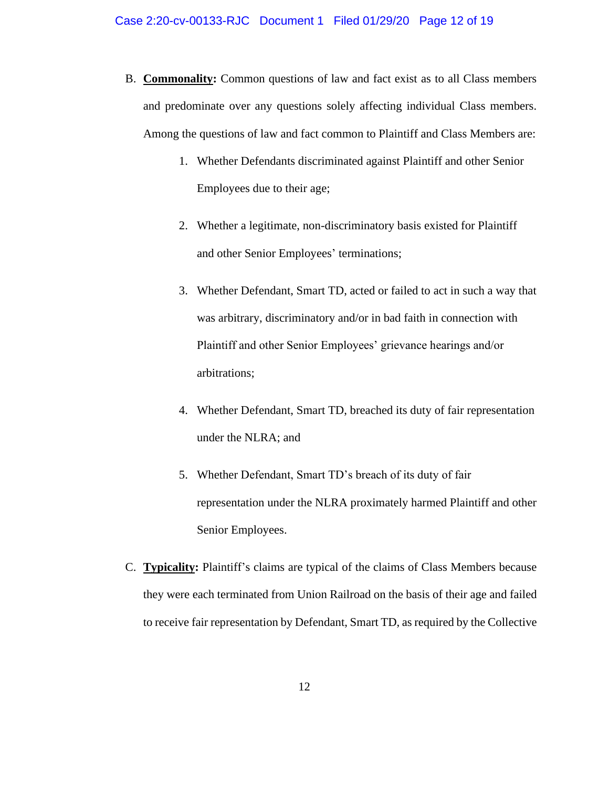- B. **Commonality:** Common questions of law and fact exist as to all Class members and predominate over any questions solely affecting individual Class members. Among the questions of law and fact common to Plaintiff and Class Members are:
	- 1. Whether Defendants discriminated against Plaintiff and other Senior Employees due to their age;
	- 2. Whether a legitimate, non-discriminatory basis existed for Plaintiff and other Senior Employees' terminations;
	- 3. Whether Defendant, Smart TD, acted or failed to act in such a way that was arbitrary, discriminatory and/or in bad faith in connection with Plaintiff and other Senior Employees' grievance hearings and/or arbitrations;
	- 4. Whether Defendant, Smart TD, breached its duty of fair representation under the NLRA; and
	- 5. Whether Defendant, Smart TD's breach of its duty of fair representation under the NLRA proximately harmed Plaintiff and other Senior Employees.
- C. **Typicality:** Plaintiff's claims are typical of the claims of Class Members because they were each terminated from Union Railroad on the basis of their age and failed to receive fair representation by Defendant, Smart TD, as required by the Collective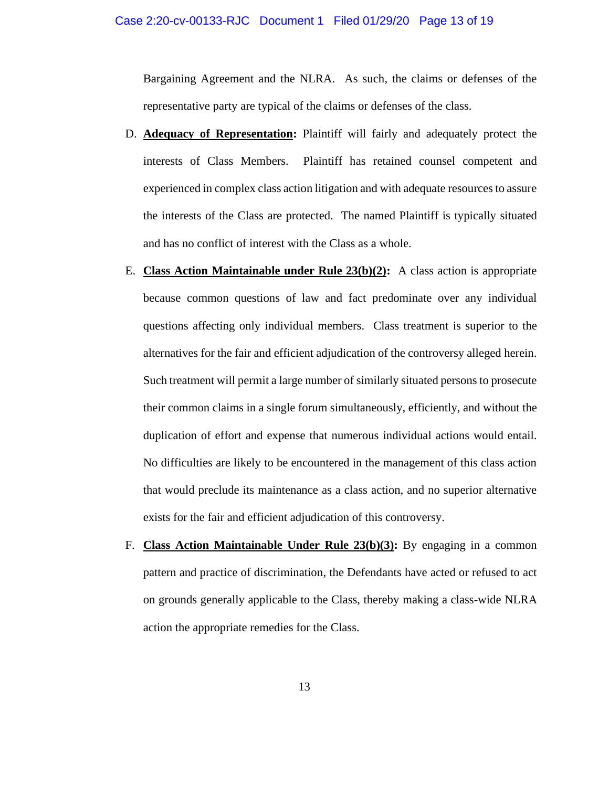#### Case 2:20-cv-00133-RJC Document 1 Filed 01/29/20 Page 13 of 19

Bargaining Agreement and the NLRA. As such, the claims or defenses of the representative party are typical of the claims or defenses of the class.

- D. **Adequacy of Representation:** Plaintiff will fairly and adequately protect the interests of Class Members. Plaintiff has retained counsel competent and experienced in complex class action litigation and with adequate resources to assure the interests of the Class are protected. The named Plaintiff is typically situated and has no conflict of interest with the Class as a whole.
- E. **Class Action Maintainable under Rule 23(b)(2):** A class action is appropriate because common questions of law and fact predominate over any individual questions affecting only individual members. Class treatment is superior to the alternatives for the fair and efficient adjudication of the controversy alleged herein. Such treatment will permit a large number of similarly situated persons to prosecute their common claims in a single forum simultaneously, efficiently, and without the duplication of effort and expense that numerous individual actions would entail. No difficulties are likely to be encountered in the management of this class action that would preclude its maintenance as a class action, and no superior alternative exists for the fair and efficient adjudication of this controversy.
- F. **Class Action Maintainable Under Rule 23(b)(3):** By engaging in a common pattern and practice of discrimination, the Defendants have acted or refused to act on grounds generally applicable to the Class, thereby making a class-wide NLRA action the appropriate remedies for the Class.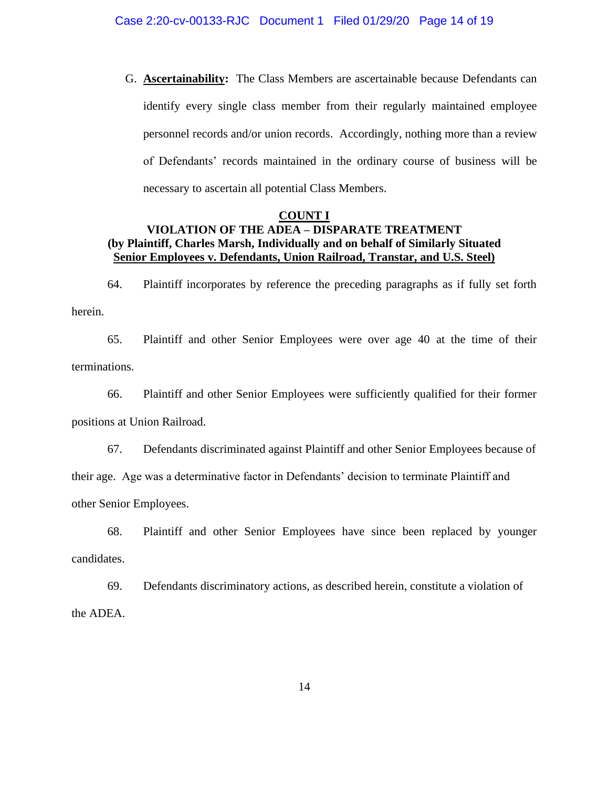G. **Ascertainability:** The Class Members are ascertainable because Defendants can identify every single class member from their regularly maintained employee personnel records and/or union records. Accordingly, nothing more than a review of Defendants' records maintained in the ordinary course of business will be necessary to ascertain all potential Class Members.

# **COUNT I VIOLATION OF THE ADEA – DISPARATE TREATMENT (by Plaintiff, Charles Marsh, Individually and on behalf of Similarly Situated Senior Employees v. Defendants, Union Railroad, Transtar, and U.S. Steel)**

64. Plaintiff incorporates by reference the preceding paragraphs as if fully set forth herein.

65. Plaintiff and other Senior Employees were over age 40 at the time of their terminations.

66. Plaintiff and other Senior Employees were sufficiently qualified for their former positions at Union Railroad.

67. Defendants discriminated against Plaintiff and other Senior Employees because of their age. Age was a determinative factor in Defendants' decision to terminate Plaintiff and other Senior Employees.

68. Plaintiff and other Senior Employees have since been replaced by younger candidates.

69. Defendants discriminatory actions, as described herein, constitute a violation of the ADEA.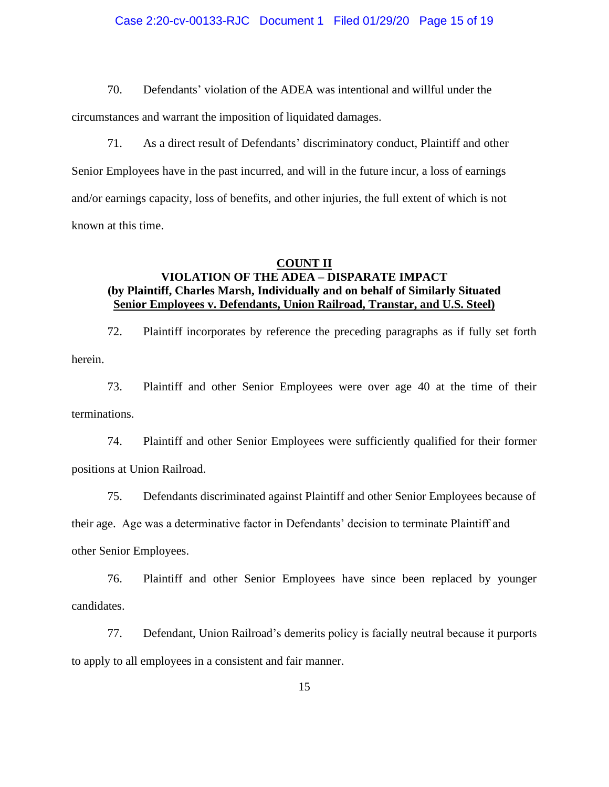# Case 2:20-cv-00133-RJC Document 1 Filed 01/29/20 Page 15 of 19

70. Defendants' violation of the ADEA was intentional and willful under the

circumstances and warrant the imposition of liquidated damages.

71. As a direct result of Defendants' discriminatory conduct, Plaintiff and other Senior Employees have in the past incurred, and will in the future incur, a loss of earnings and/or earnings capacity, loss of benefits, and other injuries, the full extent of which is not known at this time.

#### **COUNT II**

# **VIOLATION OF THE ADEA – DISPARATE IMPACT (by Plaintiff, Charles Marsh, Individually and on behalf of Similarly Situated Senior Employees v. Defendants, Union Railroad, Transtar, and U.S. Steel)**

72. Plaintiff incorporates by reference the preceding paragraphs as if fully set forth herein.

73. Plaintiff and other Senior Employees were over age 40 at the time of their terminations.

74. Plaintiff and other Senior Employees were sufficiently qualified for their former positions at Union Railroad.

75. Defendants discriminated against Plaintiff and other Senior Employees because of

their age. Age was a determinative factor in Defendants' decision to terminate Plaintiff and

other Senior Employees.

76. Plaintiff and other Senior Employees have since been replaced by younger candidates.

77. Defendant, Union Railroad's demerits policy is facially neutral because it purports to apply to all employees in a consistent and fair manner.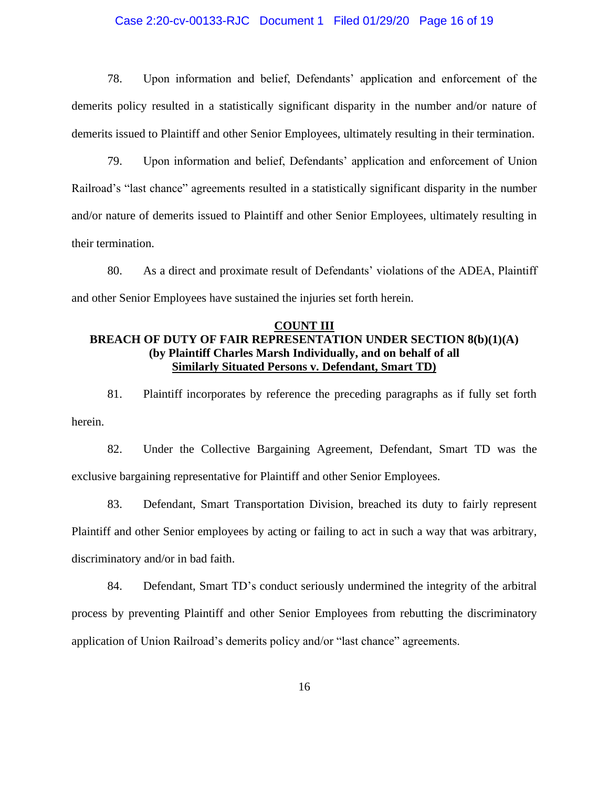# Case 2:20-cv-00133-RJC Document 1 Filed 01/29/20 Page 16 of 19

78. Upon information and belief, Defendants' application and enforcement of the demerits policy resulted in a statistically significant disparity in the number and/or nature of demerits issued to Plaintiff and other Senior Employees, ultimately resulting in their termination.

79. Upon information and belief, Defendants' application and enforcement of Union Railroad's "last chance" agreements resulted in a statistically significant disparity in the number and/or nature of demerits issued to Plaintiff and other Senior Employees, ultimately resulting in their termination.

80. As a direct and proximate result of Defendants' violations of the ADEA, Plaintiff and other Senior Employees have sustained the injuries set forth herein.

# **COUNT III BREACH OF DUTY OF FAIR REPRESENTATION UNDER SECTION 8(b)(1)(A) (by Plaintiff Charles Marsh Individually, and on behalf of all Similarly Situated Persons v. Defendant, Smart TD)**

81. Plaintiff incorporates by reference the preceding paragraphs as if fully set forth herein.

82. Under the Collective Bargaining Agreement, Defendant, Smart TD was the exclusive bargaining representative for Plaintiff and other Senior Employees.

83. Defendant, Smart Transportation Division, breached its duty to fairly represent Plaintiff and other Senior employees by acting or failing to act in such a way that was arbitrary, discriminatory and/or in bad faith.

84. Defendant, Smart TD's conduct seriously undermined the integrity of the arbitral process by preventing Plaintiff and other Senior Employees from rebutting the discriminatory application of Union Railroad's demerits policy and/or "last chance" agreements.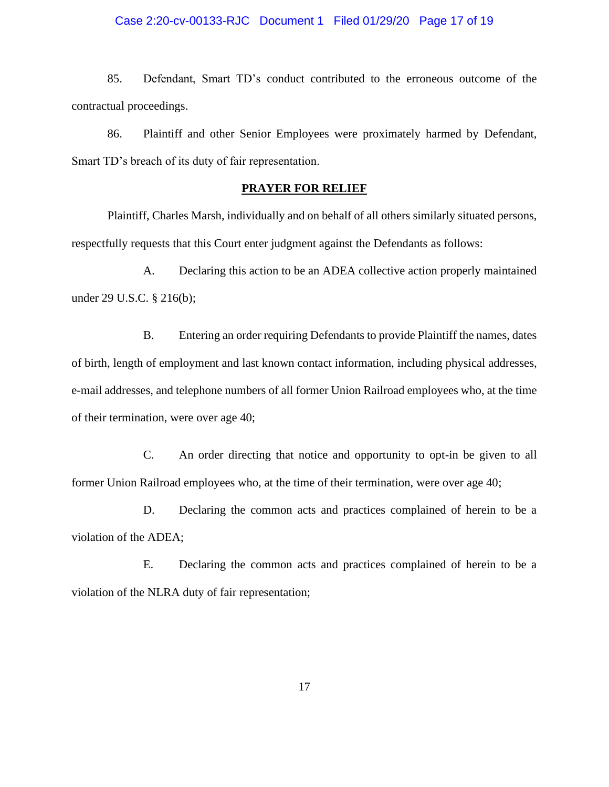# Case 2:20-cv-00133-RJC Document 1 Filed 01/29/20 Page 17 of 19

85. Defendant, Smart TD's conduct contributed to the erroneous outcome of the contractual proceedings.

86. Plaintiff and other Senior Employees were proximately harmed by Defendant, Smart TD's breach of its duty of fair representation.

# **PRAYER FOR RELIEF**

Plaintiff, Charles Marsh, individually and on behalf of all others similarly situated persons, respectfully requests that this Court enter judgment against the Defendants as follows:

A. Declaring this action to be an ADEA collective action properly maintained under 29 U.S.C. § 216(b);

B. Entering an order requiring Defendants to provide Plaintiff the names, dates of birth, length of employment and last known contact information, including physical addresses, e-mail addresses, and telephone numbers of all former Union Railroad employees who, at the time of their termination, were over age 40;

C. An order directing that notice and opportunity to opt-in be given to all former Union Railroad employees who, at the time of their termination, were over age 40;

D. Declaring the common acts and practices complained of herein to be a violation of the ADEA;

E. Declaring the common acts and practices complained of herein to be a violation of the NLRA duty of fair representation;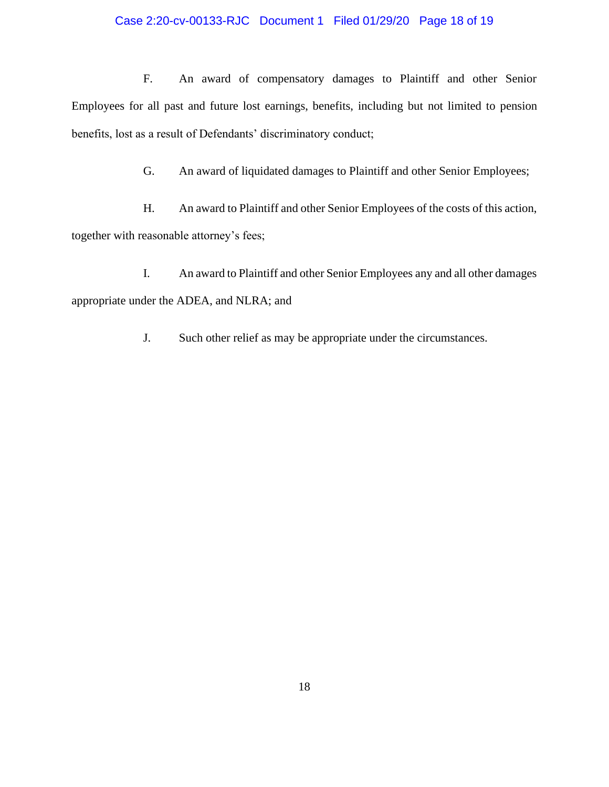# Case 2:20-cv-00133-RJC Document 1 Filed 01/29/20 Page 18 of 19

F. An award of compensatory damages to Plaintiff and other Senior Employees for all past and future lost earnings, benefits, including but not limited to pension benefits, lost as a result of Defendants' discriminatory conduct;

G. An award of liquidated damages to Plaintiff and other Senior Employees;

H. An award to Plaintiff and other Senior Employees of the costs of this action, together with reasonable attorney's fees;

I. An award to Plaintiff and other Senior Employees any and all other damages appropriate under the ADEA, and NLRA; and

J. Such other relief as may be appropriate under the circumstances.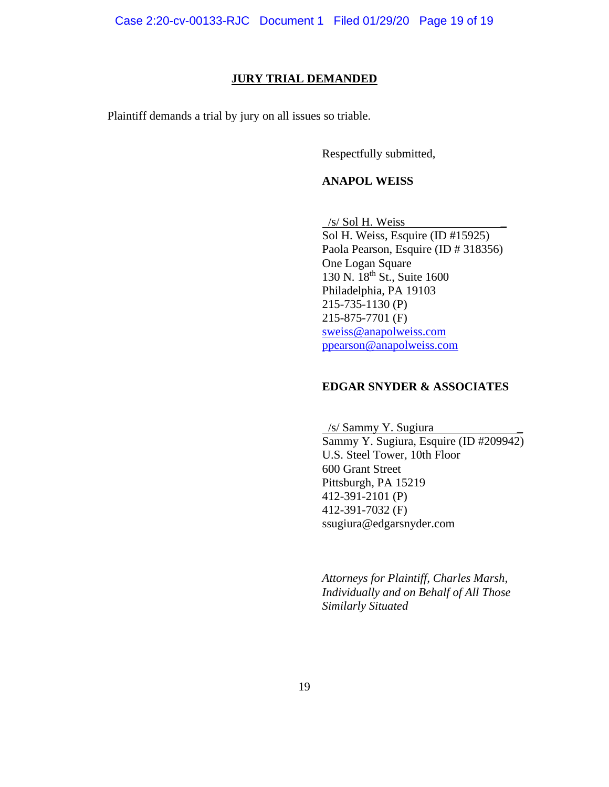# **JURY TRIAL DEMANDED**

Plaintiff demands a trial by jury on all issues so triable.

Respectfully submitted,

# **ANAPOL WEISS**

/s/ Sol H. Weiss

Sol H. Weiss, Esquire (ID #15925) Paola Pearson, Esquire (ID # 318356) One Logan Square 130 N. 18th St., Suite 1600 Philadelphia, PA 19103 215-735-1130 (P) 215-875-7701 (F) sweiss@anapolweiss.com ppearson@anapolweiss.com

# **EDGAR SNYDER & ASSOCIATES**

 /s/ Sammy Y. Sugiura \_. Sammy Y. Sugiura, Esquire (ID #209942) U.S. Steel Tower, 10th Floor 600 Grant Street Pittsburgh, PA 15219 412-391-2101 (P) 412-391-7032 (F) ssugiura@edgarsnyder.com

*Attorneys for Plaintiff, Charles Marsh, Individually and on Behalf of All Those Similarly Situated*